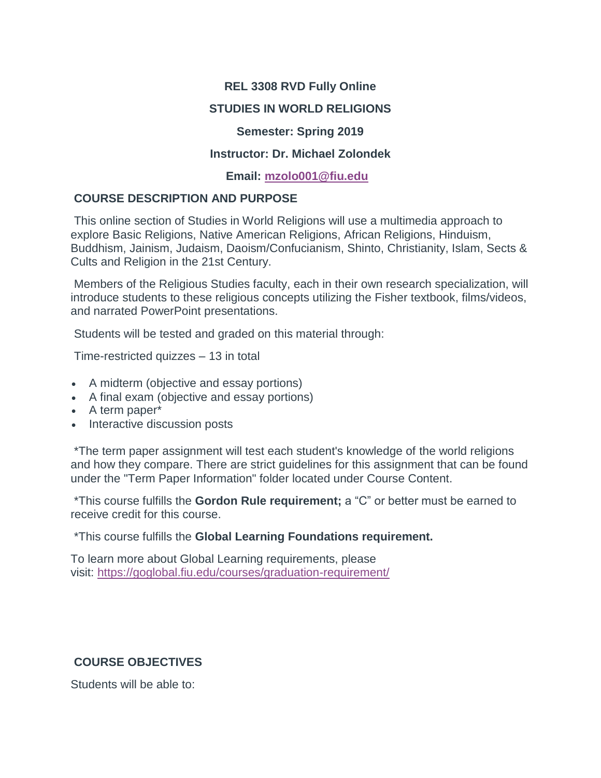### **REL 3308 RVD Fully Online**

## **STUDIES IN WORLD RELIGIONS**

### **Semester: Spring 2019**

### **Instructor: Dr. Michael Zolondek**

### **Email: [mzolo001@fiu.edu](mailto:mzolo001@fiu.edu)**

## **COURSE DESCRIPTION AND PURPOSE**

This online section of Studies in World Religions will use a multimedia approach to explore Basic Religions, Native American Religions, African Religions, Hinduism, Buddhism, Jainism, Judaism, Daoism/Confucianism, Shinto, Christianity, Islam, Sects & Cults and Religion in the 21st Century.

Members of the Religious Studies faculty, each in their own research specialization, will introduce students to these religious concepts utilizing the Fisher textbook, films/videos, and narrated PowerPoint presentations.

Students will be tested and graded on this material through:

Time-restricted quizzes – 13 in total

- A midterm (objective and essay portions)
- A final exam (objective and essay portions)
- A term paper\*
- Interactive discussion posts

\*The term paper assignment will test each student's knowledge of the world religions and how they compare. There are strict guidelines for this assignment that can be found under the "Term Paper Information" folder located under Course Content.

\*This course fulfills the **Gordon Rule requirement;** a "C" or better must be earned to receive credit for this course.

\*This course fulfills the **Global Learning Foundations requirement.**

To learn more about Global Learning requirements, please visit: <https://goglobal.fiu.edu/courses/graduation-requirement/>

## **COURSE OBJECTIVES**

Students will be able to: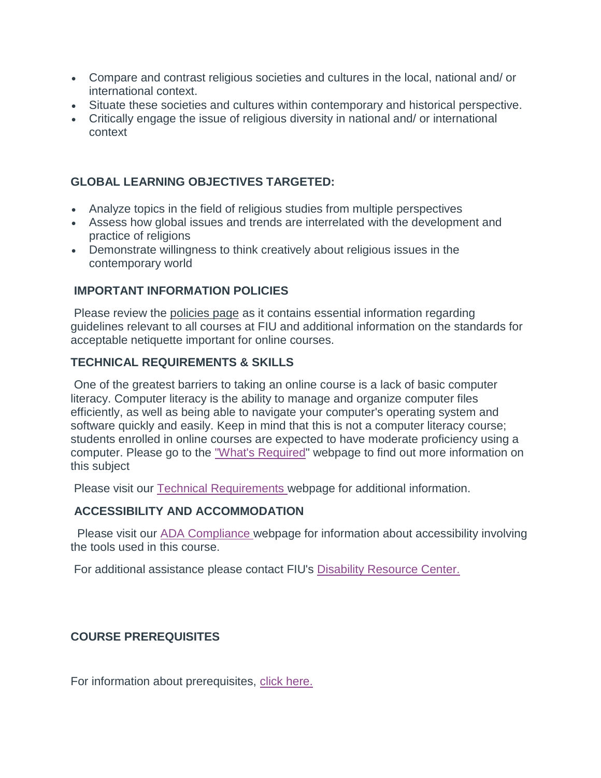- Compare and contrast religious societies and cultures in the local, national and/ or international context.
- Situate these societies and cultures within contemporary and historical perspective.
- Critically engage the issue of religious diversity in national and/ or international context

## **GLOBAL LEARNING OBJECTIVES TARGETED:**

- Analyze topics in the field of religious studies from multiple perspectives
- Assess how global issues and trends are interrelated with the development and practice of religions
- Demonstrate willingness to think creatively about religious issues in the contemporary world

## **IMPORTANT INFORMATION POLICIES**

Please review the policies page as it contains essential information regarding guidelines relevant to all courses at FIU and additional information on the standards for acceptable netiquette important for online courses.

## **TECHNICAL REQUIREMENTS & SKILLS**

One of the greatest barriers to taking an online course is a lack of basic computer literacy. Computer literacy is the ability to manage and organize computer files efficiently, as well as being able to navigate your computer's operating system and software quickly and easily. Keep in mind that this is not a computer literacy course; students enrolled in online courses are expected to have moderate proficiency using a computer. Please go to the ["What's Required"](http://online.fiu.edu/futurestudents/whatsrequired) webpage to find out more information on this subject

Please visit our [Technical Requirements](http://online.fiu.edu/app/webroot/html/blackboardlearn/mastertemplate/technical_requirements/) webpage for additional information.

## **ACCESSIBILITY AND ACCOMMODATION**

Please visit our **[ADA Compliance](http://online.fiu.edu/app/webroot/html/blackboardlearn/mastertemplate/accessibility/)** webpage for information about accessibility involving the tools used in this course.

For additional assistance please contact FIU's [Disability Resource Center.](http://drc.fiu.edu/)

## **COURSE PREREQUISITES**

For information about prerequisites, [click here.](http://catalog.fiu.edu/coursesearch/index.php)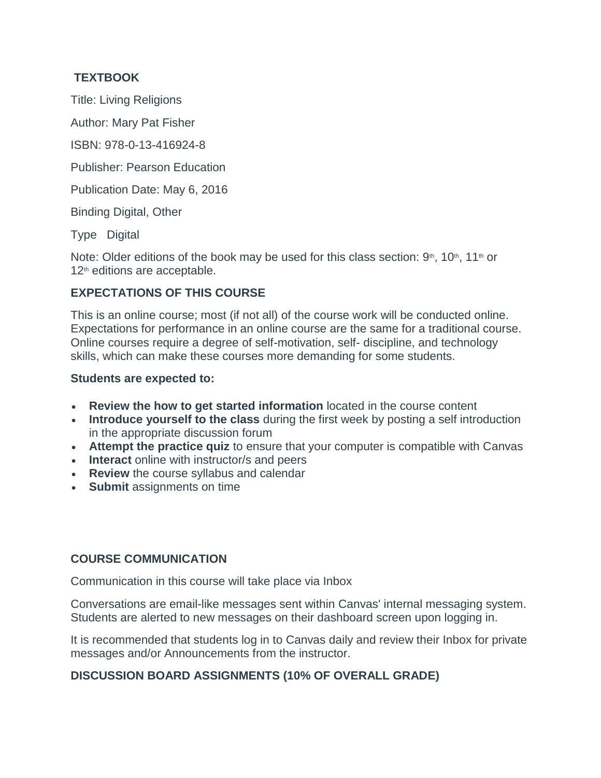# **TEXTBOOK**

Title: Living Religions

Author: Mary Pat Fisher

ISBN: 978-0-13-416924-8

Publisher: Pearson Education

Publication Date: May 6, 2016

Binding Digital, Other

Type Digital

Note: Older editions of the book may be used for this class section:  $9<sup>th</sup>$ ,  $10<sup>th</sup>$ ,  $11<sup>th</sup>$  or 12<sup>th</sup> editions are acceptable.

# **EXPECTATIONS OF THIS COURSE**

This is an online course; most (if not all) of the course work will be conducted online. Expectations for performance in an online course are the same for a traditional course. Online courses require a degree of self-motivation, self- discipline, and technology skills, which can make these courses more demanding for some students.

### **Students are expected to:**

- **Review the how to get started information** located in the course content
- **Introduce yourself to the class** during the first week by posting a self introduction in the appropriate discussion forum
- **Attempt the practice quiz** to ensure that your computer is compatible with Canvas
- **Interact** online with instructor/s and peers
- **Review** the course syllabus and calendar
- **Submit** assignments on time

## **COURSE COMMUNICATION**

Communication in this course will take place via Inbox

Conversations are email-like messages sent within Canvas' internal messaging system. Students are alerted to new messages on their dashboard screen upon logging in.

It is recommended that students log in to Canvas daily and review their Inbox for private messages and/or Announcements from the instructor.

# **DISCUSSION BOARD ASSIGNMENTS (10% OF OVERALL GRADE)**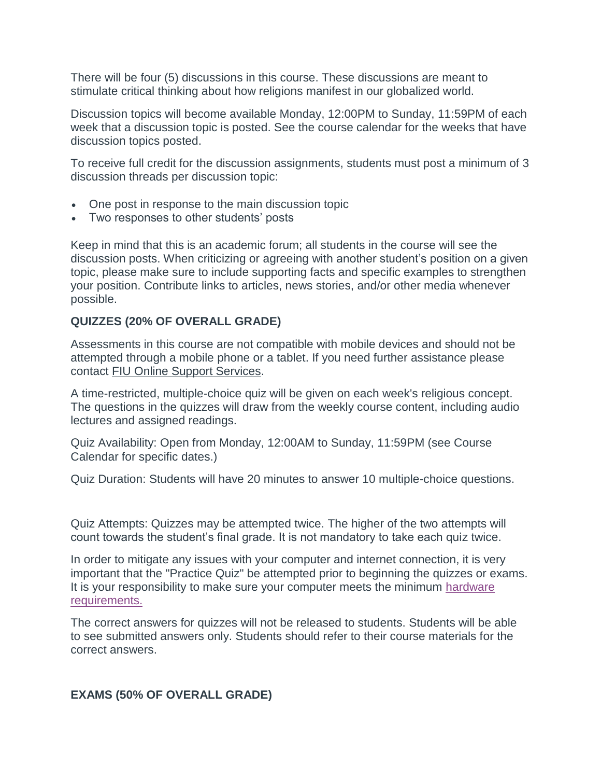There will be four (5) discussions in this course. These discussions are meant to stimulate critical thinking about how religions manifest in our globalized world.

Discussion topics will become available Monday, 12:00PM to Sunday, 11:59PM of each week that a discussion topic is posted. See the course calendar for the weeks that have discussion topics posted.

To receive full credit for the discussion assignments, students must post a minimum of 3 discussion threads per discussion topic:

- One post in response to the main discussion topic
- Two responses to other students' posts

Keep in mind that this is an academic forum; all students in the course will see the discussion posts. When criticizing or agreeing with another student's position on a given topic, please make sure to include supporting facts and specific examples to strengthen your position. Contribute links to articles, news stories, and/or other media whenever possible.

### **QUIZZES (20% OF OVERALL GRADE)**

Assessments in this course are not compatible with mobile devices and should not be attempted through a mobile phone or a tablet. If you need further assistance please contact FIU Online Support Services.

A time-restricted, multiple-choice quiz will be given on each week's religious concept. The questions in the quizzes will draw from the weekly course content, including audio lectures and assigned readings.

Quiz Availability: Open from Monday, 12:00AM to Sunday, 11:59PM (see Course Calendar for specific dates.)

Quiz Duration: Students will have 20 minutes to answer 10 multiple-choice questions.

Quiz Attempts: Quizzes may be attempted twice. The higher of the two attempts will count towards the student's final grade. It is not mandatory to take each quiz twice.

In order to mitigate any issues with your computer and internet connection, it is very important that the "Practice Quiz" be attempted prior to beginning the quizzes or exams. It is your responsibility to make sure your computer meets the minimum [hardware](http://online.fiu.edu/future_whats_required.html)  [requirements.](http://online.fiu.edu/future_whats_required.html)

The correct answers for quizzes will not be released to students. Students will be able to see submitted answers only. Students should refer to their course materials for the correct answers.

### **EXAMS (50% OF OVERALL GRADE)**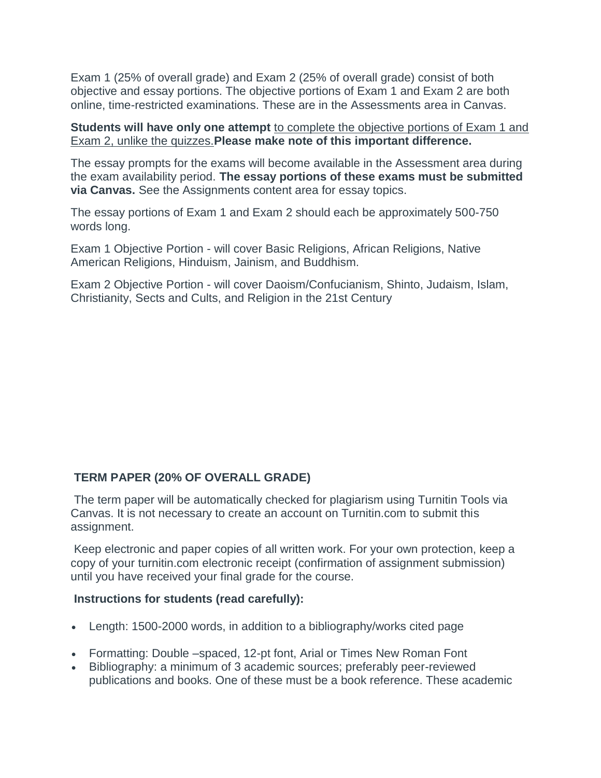Exam 1 (25% of overall grade) and Exam 2 (25% of overall grade) consist of both objective and essay portions. The objective portions of Exam 1 and Exam 2 are both online, time-restricted examinations. These are in the Assessments area in Canvas.

**Students will have only one attempt** to complete the objective portions of Exam 1 and Exam 2, unlike the quizzes.**Please make note of this important difference.**

The essay prompts for the exams will become available in the Assessment area during the exam availability period. **The essay portions of these exams must be submitted via Canvas.** See the Assignments content area for essay topics.

The essay portions of Exam 1 and Exam 2 should each be approximately 500-750 words long.

Exam 1 Objective Portion - will cover Basic Religions, African Religions, Native American Religions, Hinduism, Jainism, and Buddhism.

Exam 2 Objective Portion - will cover Daoism/Confucianism, Shinto, Judaism, Islam, Christianity, Sects and Cults, and Religion in the 21st Century

## **TERM PAPER (20% OF OVERALL GRADE)**

The term paper will be automatically checked for plagiarism using Turnitin Tools via Canvas. It is not necessary to create an account on Turnitin.com to submit this assignment.

Keep electronic and paper copies of all written work. For your own protection, keep a copy of your turnitin.com electronic receipt (confirmation of assignment submission) until you have received your final grade for the course.

### **Instructions for students (read carefully):**

- Length: 1500-2000 words, in addition to a bibliography/works cited page
- Formatting: Double –spaced, 12-pt font, Arial or Times New Roman Font
- Bibliography: a minimum of 3 academic sources; preferably peer-reviewed publications and books. One of these must be a book reference. These academic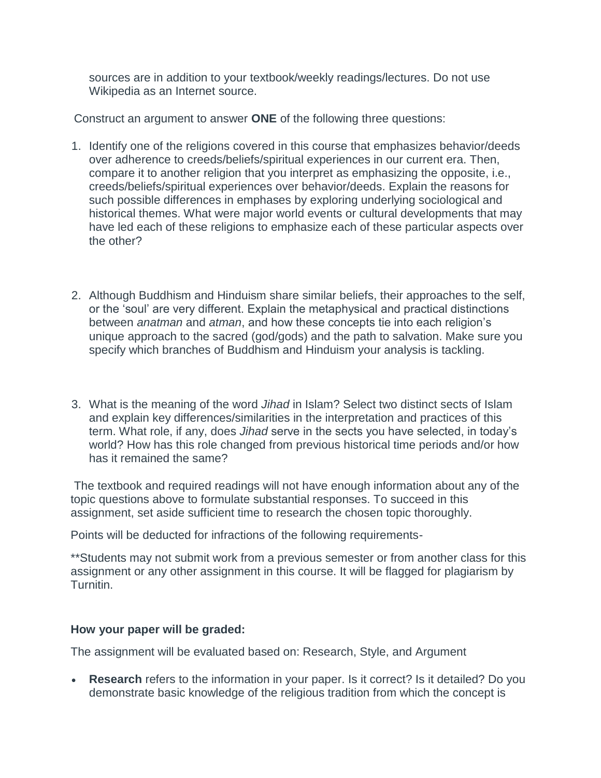sources are in addition to your textbook/weekly readings/lectures. Do not use Wikipedia as an Internet source.

Construct an argument to answer **ONE** of the following three questions:

- 1. Identify one of the religions covered in this course that emphasizes behavior/deeds over adherence to creeds/beliefs/spiritual experiences in our current era. Then, compare it to another religion that you interpret as emphasizing the opposite, i.e., creeds/beliefs/spiritual experiences over behavior/deeds. Explain the reasons for such possible differences in emphases by exploring underlying sociological and historical themes. What were major world events or cultural developments that may have led each of these religions to emphasize each of these particular aspects over the other?
- 2. Although Buddhism and Hinduism share similar beliefs, their approaches to the self, or the 'soul' are very different. Explain the metaphysical and practical distinctions between *anatman* and *atman*, and how these concepts tie into each religion's unique approach to the sacred (god/gods) and the path to salvation. Make sure you specify which branches of Buddhism and Hinduism your analysis is tackling.
- 3. What is the meaning of the word *Jihad* in Islam? Select two distinct sects of Islam and explain key differences/similarities in the interpretation and practices of this term. What role, if any, does *Jihad* serve in the sects you have selected, in today's world? How has this role changed from previous historical time periods and/or how has it remained the same?

The textbook and required readings will not have enough information about any of the topic questions above to formulate substantial responses. To succeed in this assignment, set aside sufficient time to research the chosen topic thoroughly.

Points will be deducted for infractions of the following requirements-

\*\*Students may not submit work from a previous semester or from another class for this assignment or any other assignment in this course. It will be flagged for plagiarism by Turnitin.

### **How your paper will be graded:**

The assignment will be evaluated based on: Research, Style, and Argument

• **Research** refers to the information in your paper. Is it correct? Is it detailed? Do you demonstrate basic knowledge of the religious tradition from which the concept is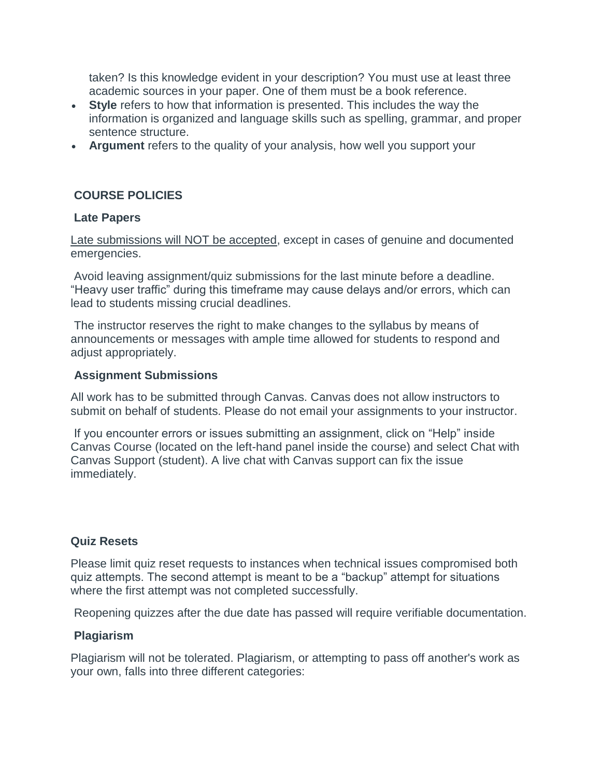taken? Is this knowledge evident in your description? You must use at least three academic sources in your paper. One of them must be a book reference.

- **Style** refers to how that information is presented. This includes the way the information is organized and language skills such as spelling, grammar, and proper sentence structure.
- **Argument** refers to the quality of your analysis, how well you support your

## **COURSE POLICIES**

### **Late Papers**

Late submissions will NOT be accepted, except in cases of genuine and documented emergencies.

Avoid leaving assignment/quiz submissions for the last minute before a deadline. "Heavy user traffic" during this timeframe may cause delays and/or errors, which can lead to students missing crucial deadlines.

The instructor reserves the right to make changes to the syllabus by means of announcements or messages with ample time allowed for students to respond and adjust appropriately.

### **Assignment Submissions**

All work has to be submitted through Canvas. Canvas does not allow instructors to submit on behalf of students. Please do not email your assignments to your instructor.

If you encounter errors or issues submitting an assignment, click on "Help" inside Canvas Course (located on the left-hand panel inside the course) and select Chat with Canvas Support (student). A live chat with Canvas support can fix the issue immediately.

### **Quiz Resets**

Please limit quiz reset requests to instances when technical issues compromised both quiz attempts. The second attempt is meant to be a "backup" attempt for situations where the first attempt was not completed successfully.

Reopening quizzes after the due date has passed will require verifiable documentation.

### **Plagiarism**

Plagiarism will not be tolerated. Plagiarism, or attempting to pass off another's work as your own, falls into three different categories: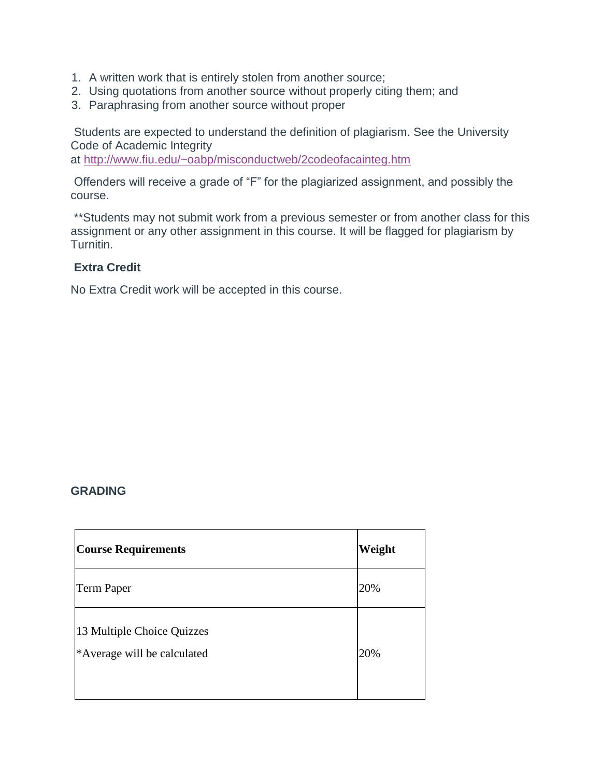- 1. A written work that is entirely stolen from another source;
- 2. Using quotations from another source without properly citing them; and
- 3. Paraphrasing from another source without proper

Students are expected to understand the definition of plagiarism. See the University Code of Academic Integrity

at <http://www.fiu.edu/~oabp/misconductweb/2codeofacainteg.htm>

Offenders will receive a grade of "F" for the plagiarized assignment, and possibly the course.

\*\*Students may not submit work from a previous semester or from another class for this assignment or any other assignment in this course. It will be flagged for plagiarism by Turnitin.

### **Extra Credit**

No Extra Credit work will be accepted in this course.

### **GRADING**

| <b>Course Requirements</b>                                | Weight |
|-----------------------------------------------------------|--------|
| <b>Term Paper</b>                                         | 20%    |
| 13 Multiple Choice Quizzes<br>*Average will be calculated | 20%    |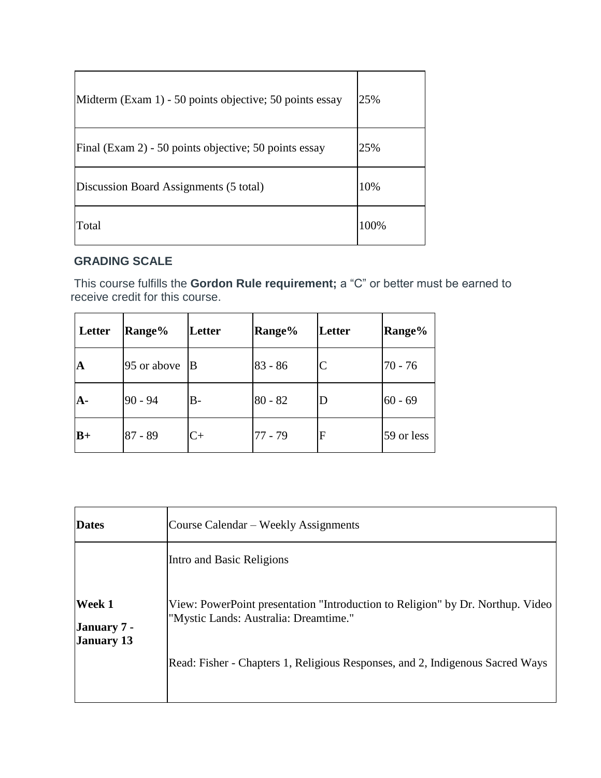| Midterm (Exam 1) - 50 points objective; 50 points essay | 25%  |
|---------------------------------------------------------|------|
| Final (Exam 2) - 50 points objective; 50 points essay   | 25%  |
| Discussion Board Assignments (5 total)                  | 10%  |
| Total                                                   | 100% |

# **GRADING SCALE**

This course fulfills the **Gordon Rule requirement;** a "C" or better must be earned to receive credit for this course.

| Letter      | Range%      | Letter | <b>Range%</b> | Letter | Range%     |
|-------------|-------------|--------|---------------|--------|------------|
| $\mathbf A$ | 95 or above | IВ     | $83 - 86$     |        | $70 - 76$  |
| $A-$        | $90 - 94$   | В-     | $80 - 82$     |        | $60 - 69$  |
| $B+$        | $87 - 89$   | C+     | $77 - 79$     | F      | 59 or less |

| Course Calendar – Weekly Assignments                                                                                    |
|-------------------------------------------------------------------------------------------------------------------------|
| Intro and Basic Religions                                                                                               |
| View: PowerPoint presentation "Introduction to Religion" by Dr. Northup. Video<br>"Mystic Lands: Australia: Dreamtime." |
| Read: Fisher - Chapters 1, Religious Responses, and 2, Indigenous Sacred Ways                                           |
|                                                                                                                         |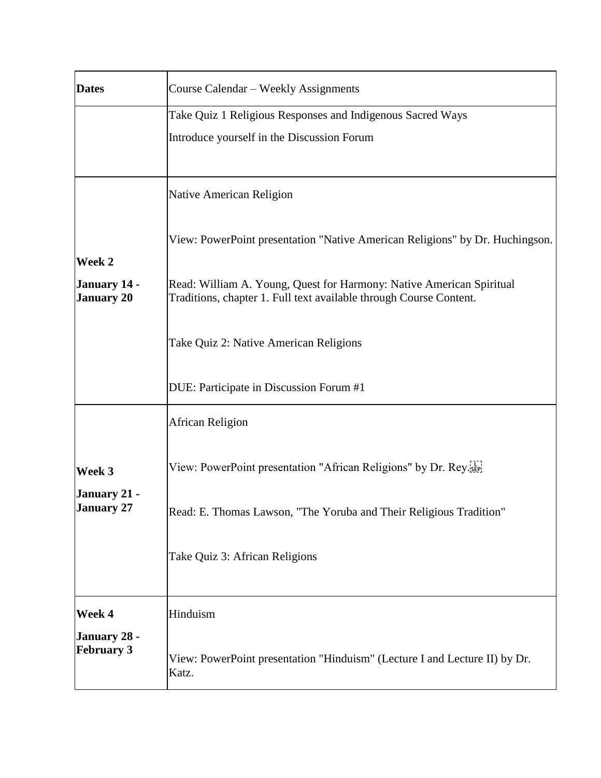| <b>Dates</b>                                | Course Calendar – Weekly Assignments                                                                                                       |
|---------------------------------------------|--------------------------------------------------------------------------------------------------------------------------------------------|
|                                             | Take Quiz 1 Religious Responses and Indigenous Sacred Ways                                                                                 |
|                                             | Introduce yourself in the Discussion Forum                                                                                                 |
|                                             |                                                                                                                                            |
|                                             | Native American Religion                                                                                                                   |
| Week 2                                      | View: PowerPoint presentation "Native American Religions" by Dr. Huchingson.                                                               |
| January 14 -<br><b>January 20</b>           | Read: William A. Young, Quest for Harmony: Native American Spiritual<br>Traditions, chapter 1. Full text available through Course Content. |
|                                             | Take Quiz 2: Native American Religions                                                                                                     |
|                                             | DUE: Participate in Discussion Forum #1                                                                                                    |
|                                             | African Religion                                                                                                                           |
| Week 3<br>January 21 -<br><b>January 27</b> | View: PowerPoint presentation "African Religions" by Dr. Rey.                                                                              |
|                                             | Read: E. Thomas Lawson, "The Yoruba and Their Religious Tradition"                                                                         |
|                                             | Take Quiz 3: African Religions                                                                                                             |
| Week 4                                      | Hinduism                                                                                                                                   |
| January 28 -<br><b>February 3</b>           | View: PowerPoint presentation "Hinduism" (Lecture I and Lecture II) by Dr.<br>Katz.                                                        |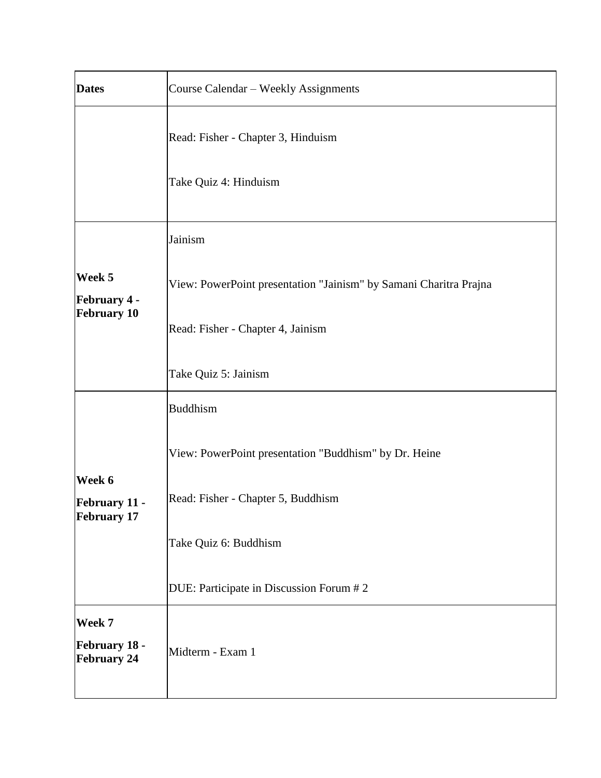| <b>Dates</b>                                  | Course Calendar - Weekly Assignments                              |  |
|-----------------------------------------------|-------------------------------------------------------------------|--|
|                                               | Read: Fisher - Chapter 3, Hinduism                                |  |
|                                               | Take Quiz 4: Hinduism                                             |  |
|                                               | Jainism                                                           |  |
| Week 5<br><b>February 4 -</b>                 | View: PowerPoint presentation "Jainism" by Samani Charitra Prajna |  |
| <b>February 10</b>                            | Read: Fisher - Chapter 4, Jainism                                 |  |
|                                               | Take Quiz 5: Jainism                                              |  |
|                                               | <b>Buddhism</b>                                                   |  |
|                                               | View: PowerPoint presentation "Buddhism" by Dr. Heine             |  |
| Week 6<br>February 11 -<br><b>February 17</b> | Read: Fisher - Chapter 5, Buddhism                                |  |
|                                               | Take Quiz 6: Buddhism                                             |  |
|                                               | DUE: Participate in Discussion Forum # 2                          |  |
| Week 7<br>February 18 -<br><b>February 24</b> | Midterm - Exam 1                                                  |  |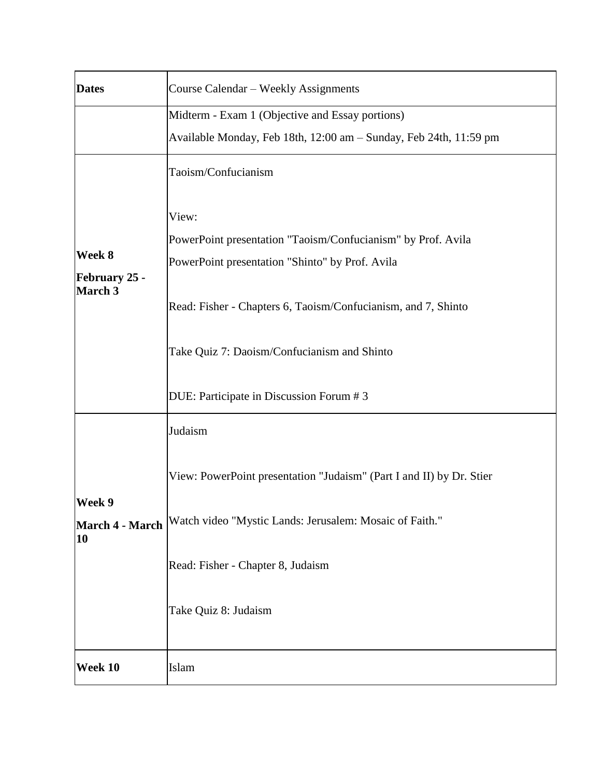| <b>Dates</b>                              | Course Calendar - Weekly Assignments                                                                                                                                                                                                                                                 |  |
|-------------------------------------------|--------------------------------------------------------------------------------------------------------------------------------------------------------------------------------------------------------------------------------------------------------------------------------------|--|
|                                           | Midterm - Exam 1 (Objective and Essay portions)<br>Available Monday, Feb 18th, 12:00 am - Sunday, Feb 24th, 11:59 pm                                                                                                                                                                 |  |
| Week 8<br><b>February 25 -</b><br>March 3 | Taoism/Confucianism                                                                                                                                                                                                                                                                  |  |
|                                           | View:<br>PowerPoint presentation "Taoism/Confucianism" by Prof. Avila<br>PowerPoint presentation "Shinto" by Prof. Avila<br>Read: Fisher - Chapters 6, Taoism/Confucianism, and 7, Shinto<br>Take Quiz 7: Daoism/Confucianism and Shinto<br>DUE: Participate in Discussion Forum # 3 |  |
|                                           | Judaism                                                                                                                                                                                                                                                                              |  |
| Week 9<br>March 4 - March<br>10           | View: PowerPoint presentation "Judaism" (Part I and II) by Dr. Stier<br>Watch video "Mystic Lands: Jerusalem: Mosaic of Faith."                                                                                                                                                      |  |
|                                           | Read: Fisher - Chapter 8, Judaism                                                                                                                                                                                                                                                    |  |
|                                           | Take Quiz 8: Judaism                                                                                                                                                                                                                                                                 |  |
| Week 10                                   | Islam                                                                                                                                                                                                                                                                                |  |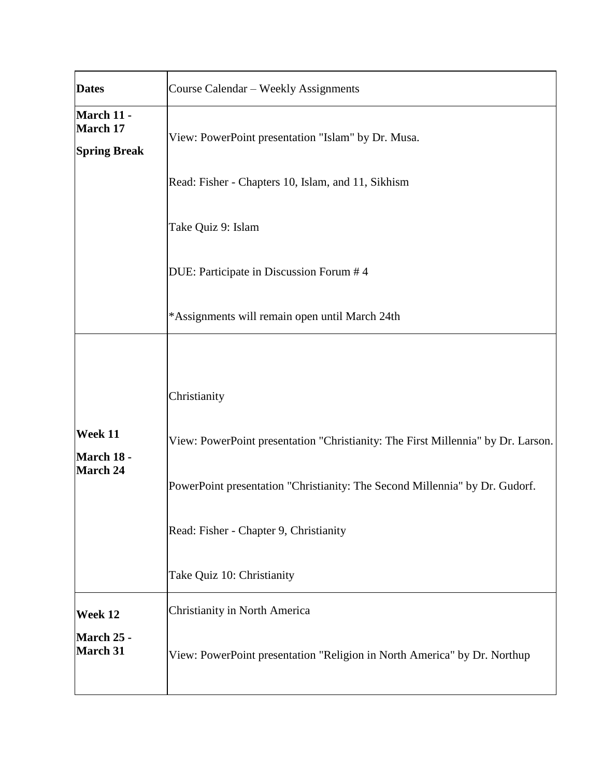| <b>Dates</b>                                         | Course Calendar - Weekly Assignments                                                                                                                                                                                                                    |  |  |
|------------------------------------------------------|---------------------------------------------------------------------------------------------------------------------------------------------------------------------------------------------------------------------------------------------------------|--|--|
| March 11 -<br><b>March 17</b><br><b>Spring Break</b> | View: PowerPoint presentation "Islam" by Dr. Musa.                                                                                                                                                                                                      |  |  |
|                                                      | Read: Fisher - Chapters 10, Islam, and 11, Sikhism                                                                                                                                                                                                      |  |  |
|                                                      | Take Quiz 9: Islam                                                                                                                                                                                                                                      |  |  |
|                                                      | DUE: Participate in Discussion Forum #4                                                                                                                                                                                                                 |  |  |
|                                                      | *Assignments will remain open until March 24th                                                                                                                                                                                                          |  |  |
| Week 11<br>March 18 -<br><b>March 24</b>             | Christianity<br>View: PowerPoint presentation "Christianity: The First Millennia" by Dr. Larson.<br>PowerPoint presentation "Christianity: The Second Millennia" by Dr. Gudorf.<br>Read: Fisher - Chapter 9, Christianity<br>Take Quiz 10: Christianity |  |  |
| Week 12<br>March 25 -<br><b>March 31</b>             | Christianity in North America<br>View: PowerPoint presentation "Religion in North America" by Dr. Northup                                                                                                                                               |  |  |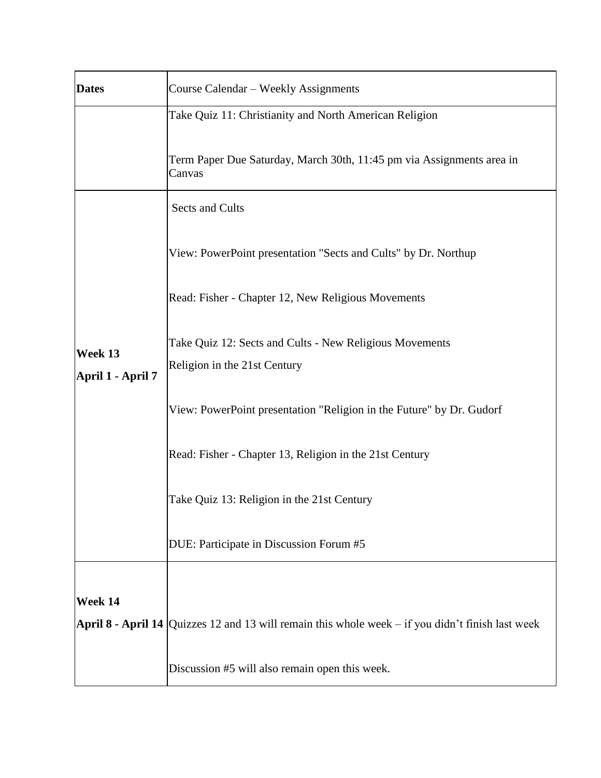| <b>Dates</b>                 | Course Calendar – Weekly Assignments                                                                  |  |  |
|------------------------------|-------------------------------------------------------------------------------------------------------|--|--|
|                              | Take Quiz 11: Christianity and North American Religion                                                |  |  |
|                              | Term Paper Due Saturday, March 30th, 11:45 pm via Assignments area in<br>Canvas                       |  |  |
|                              | Sects and Cults                                                                                       |  |  |
| Week 13<br>April 1 - April 7 | View: PowerPoint presentation "Sects and Cults" by Dr. Northup                                        |  |  |
|                              | Read: Fisher - Chapter 12, New Religious Movements                                                    |  |  |
|                              | Take Quiz 12: Sects and Cults - New Religious Movements<br>Religion in the 21st Century               |  |  |
|                              | View: PowerPoint presentation "Religion in the Future" by Dr. Gudorf                                  |  |  |
|                              | Read: Fisher - Chapter 13, Religion in the 21st Century                                               |  |  |
|                              | Take Quiz 13: Religion in the 21st Century                                                            |  |  |
|                              | DUE: Participate in Discussion Forum #5                                                               |  |  |
|                              |                                                                                                       |  |  |
| Week 14                      |                                                                                                       |  |  |
|                              | April 8 - April 14   Quizzes 12 and 13 will remain this whole week $-$ if you didn't finish last week |  |  |
|                              | Discussion #5 will also remain open this week.                                                        |  |  |